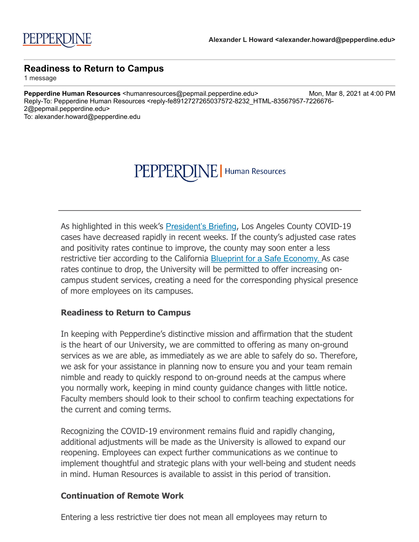#### PEPPERDIN  $\left\| \boldsymbol{\mathsf{F}} \right\|$  Human Resources

As highlighted in this week's **[President's Briefing](http://click.pepmail.pepperdine.edu/?qs=ffbaa4d6bd00bef1b90809bfbcc207bf60664e879ddfeefe48e500b0f302378075b8a6fdc4d53319ce07c0dcb7bbc91efc4f6d209b24edea), Los Angeles County COVID-19** cases have decreased rapidly in recent weeks. If the county's adjusted case rates and positivity rates continue to improve, the county may soon enter a less restrictive tier according to the California **Blueprint for a Safe Economy.** As case rates continue to drop, the University will be permitted to offer increasing oncampus student services, creating a need for the corresponding physical presence of more employees on its campuses.

### **Readiness to Return to Campus**

In keeping with Pepperdine's distinctive mission and affirmation that the student is the heart of our University, we are committed to offering as many on-ground services as we are able, as immediately as we are able to safely do so. Therefore, we ask for your assistance in planning now to ensure you and your team remain nimble and ready to quickly respond to on-ground needs at the campus where you normally work, keeping in mind county guidance changes with little notice. Faculty members should look to their school to confirm teaching expectations for the current and coming terms.

Recognizing the COVID-19 environment remains fluid and rapidly changing, additional adjustments will be made as the University is allowed to expand our reopening. Employees can expect further communications as we continue to implement thoughtful and strategic plans with your well-being and student needs in mind. Human Resources is available to assist in this period of transition.

## **Continuation of Remote Work**

Entering a less restrictive tier does not mean all employees may return to